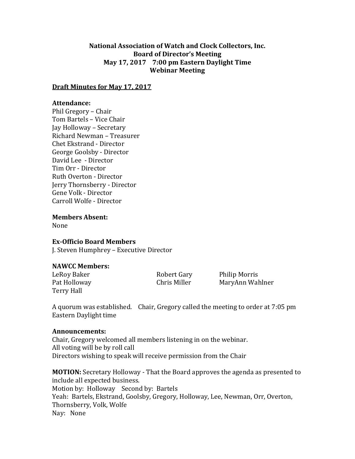# **National Association of Watch and Clock Collectors, Inc. Board of Director's Meeting May 17, 2017 7:00 pm Eastern Daylight Time Webinar Meeting**

### **Draft Minutes for May 17, 2017**

### **Attendance:**

Phil Gregory – Chair Tom Bartels – Vice Chair Jay Holloway – Secretary Richard Newman – Treasurer Chet Ekstrand - Director George Goolsby - Director David Lee - Director Tim Orr - Director Ruth Overton - Director Jerry Thornsberry - Director Gene Volk - Director Carroll Wolfe - Director

**Members Absent:**

None

#### **Ex-Officio Board Members**

J. Steven Humphrey – Executive Director

## **NAWCC Members:**

Terry Hall

LeRoy Baker **Robert Gary** Philip Morris Pat Holloway **Chris Miller** MaryAnn Wahlner

A quorum was established. Chair, Gregory called the meeting to order at 7:05 pm Eastern Daylight time

#### **Announcements:**

Chair, Gregory welcomed all members listening in on the webinar. All voting will be by roll call Directors wishing to speak will receive permission from the Chair

**MOTION:** Secretary Holloway - That the Board approves the agenda as presented to include all expected business. Motion by: Holloway Second by: Bartels Yeah: Bartels, Ekstrand, Goolsby, Gregory, Holloway, Lee, Newman, Orr, Overton, Thornsberry, Volk, Wolfe Nay: None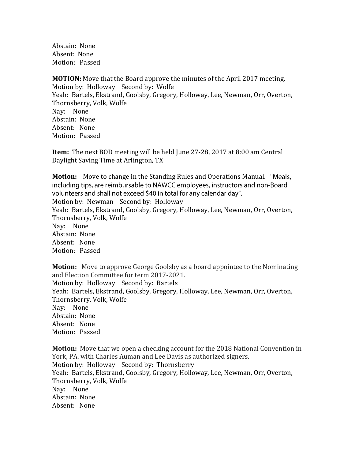Abstain: None Absent: None Motion: Passed

**MOTION:** Move that the Board approve the minutes of the April 2017 meeting. Motion by: Holloway Second by: Wolfe Yeah: Bartels, Ekstrand, Goolsby, Gregory, Holloway, Lee, Newman, Orr, Overton, Thornsberry, Volk, Wolfe Nay: None Abstain: None Absent: None Motion: Passed

**Item:** The next BOD meeting will be held June 27-28, 2017 at 8:00 am Central Daylight Saving Time at Arlington, TX

**Motion:** Move to change in the Standing Rules and Operations Manual. including tips, are reimbursable to NAWCC employees, instructors and non-Board volunteers and shall not exceed \$40 in total for any calendar day". Motion by: Newman Second by: Holloway Yeah: Bartels, Ekstrand, Goolsby, Gregory, Holloway, Lee, Newman, Orr, Overton, Thornsberry, Volk, Wolfe Nay: None Abstain: None Absent: None Motion: Passed

**Motion:** Move to approve George Goolsby as a board appointee to the Nominating and Election Committee for term 2017-2021. Motion by: Holloway Second by: Bartels Yeah: Bartels, Ekstrand, Goolsby, Gregory, Holloway, Lee, Newman, Orr, Overton, Thornsberry, Volk, Wolfe Nay: None Abstain: None Absent: None Motion: Passed

**Motion:** Move that we open a checking account for the 2018 National Convention in York, PA. with Charles Auman and Lee Davis as authorized signers. Motion by: Holloway Second by: Thornsberry Yeah: Bartels, Ekstrand, Goolsby, Gregory, Holloway, Lee, Newman, Orr, Overton, Thornsberry, Volk, Wolfe Nay: None Abstain: None Absent: None